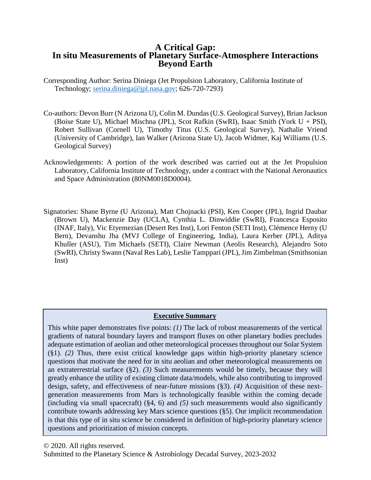# **A Critical Gap: In situ Measurements of Planetary Surface-Atmosphere Interactions Beyond Earth**

- Corresponding Author: Serina Diniega (Jet Propulsion Laboratory, California Institute of Technology; [serina.diniega@jpl.nasa.gov;](mailto:serina.diniega@jpl.nasa.gov) 626-720-7293)
- Co-authors: Devon Burr (N Arizona U), Colin M. Dundas (U.S. Geological Survey), Brian Jackson (Boise State U), Michael Mischna (JPL), Scot Rafkin (SwRI), Isaac Smith (York U + PSI), Robert Sullivan (Cornell U), Timothy Titus (U.S. Geological Survey), Nathalie Vriend (University of Cambridge), Ian Walker (Arizona State U), Jacob Widmer, Kaj Williams (U.S. Geological Survey)
- Acknowledgements: A portion of the work described was carried out at the Jet Propulsion Laboratory, California Institute of Technology, under a contract with the National Aeronautics and Space Administration (80NM0018D0004).
- Signatories: Shane Byrne (U Arizona), Matt Chojnacki (PSI), Ken Cooper (JPL), Ingrid Daubar (Brown U), Mackenzie Day (UCLA), Cynthia L. Dinwiddie (SwRI), Francesca Esposito (INAF, Italy), Vic Etyemezian (Desert Res Inst), Lori Fenton (SETI Inst), Clémence Herny (U Bern), Devanshu Jha (MVJ College of Engineering, India), Laura Kerber (JPL), Aditya Khuller (ASU), Tim Michaels (SETI), Claire Newman (Aeolis Research), Alejandro Soto (SwRI), Christy Swann (Naval Res Lab), Leslie Tamppari (JPL), Jim Zimbelman (Smithsonian Inst)

# **Executive Summary**

This white paper demonstrates five points: *(1)* The lack of robust measurements of the vertical gradients of natural boundary layers and transport fluxes on other planetary bodies precludes adequate estimation of aeolian and other meteorological processes throughout our Solar System (§1). *(2)* Thus, there exist critical knowledge gaps within high-priority planetary science questions that motivate the need for in situ aeolian and other meteorological measurements on an extraterrestrial surface (§2). *(3)* Such measurements would be timely, because they will greatly enhance the utility of existing climate data/models, while also contributing to improved design, safety, and effectiveness of near-future missions (§3). *(4)* Acquisition of these nextgeneration measurements from Mars is technologically feasible within the coming decade (including via small spacecraft) (§4, 6) and *(5)* such measurements would also significantly contribute towards addressing key Mars science questions (§5). Our implicit recommendation is that this type of in situ science be considered in definition of high-priority planetary science questions and prioritization of mission concepts.

<sup>© 2020.</sup> All rights reserved.

Submitted to the Planetary Science & Astrobiology Decadal Survey, 2023-2032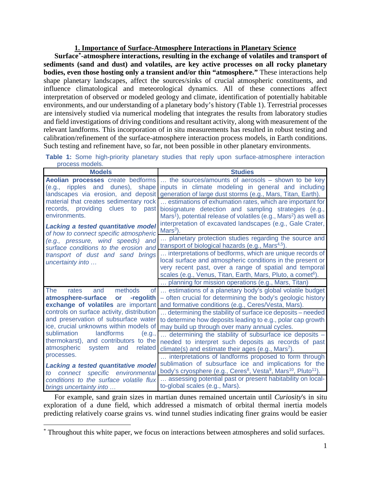## **1. Importance of Surface-Atmosphere Interactions in Planetary Science**

**Surface[\\*-](#page-1-0)atmosphere interactions, resulting in the exchange of volatiles and transport of sediments (sand and dust) and volatiles, are key active processes on all rocky planetary bodies, even those hosting only a transient and/or thin "atmosphere."** These interactions help shape planetary landscapes, affect the sources/sinks of crucial atmospheric constituents, and influence climatological and meteorological dynamics. All of these connections affect interpretation of observed or modeled geology and climate, identification of potentially habitable environments, and our understanding of a planetary body's history (Table 1). Terrestrial processes are intensively studied via numerical modeling that integrates the results from laboratory studies and field investigations of driving conditions and resultant activity, along with measurement of the relevant landforms. This incorporation of in situ measurements has resulted in robust testing and calibration/refinement of the surface-atmosphere interaction process models, in Earth conditions. Such testing and refinement have, so far, not been possible in other planetary environments.

**Table 1:** Some high-priority planetary studies that reply upon surface-atmosphere interaction process models.

| <b>Models</b>                                                                                                                                                                                                                                                                                                                                                                                                                       | <b>Studies</b>                                                                                                                                                                                                                                                                  |  |
|-------------------------------------------------------------------------------------------------------------------------------------------------------------------------------------------------------------------------------------------------------------------------------------------------------------------------------------------------------------------------------------------------------------------------------------|---------------------------------------------------------------------------------------------------------------------------------------------------------------------------------------------------------------------------------------------------------------------------------|--|
| (e.g.,                                                                                                                                                                                                                                                                                                                                                                                                                              | <b>Aeolian processes</b> create bedforms  the sources/amounts of aerosols – shown to be key<br>ripples and dunes), shape inputs in climate modeling in general and including<br>landscapes via erosion, and deposit generation of large dust storms (e.g., Mars, Titan, Earth). |  |
| material that creates sedimentary rock<br>records, providing<br>clues to<br>past<br>environments.                                                                                                                                                                                                                                                                                                                                   | estimations of exhumation rates, which are important for<br>biosignature detection and sampling strategies (e.g.,<br>Mars <sup>1</sup> ), potential release of volatiles (e.g., Mars <sup>2</sup> ) as well as                                                                  |  |
| Lacking a tested quantitative model<br>of how to connect specific atmospheric                                                                                                                                                                                                                                                                                                                                                       | interpretation of excavated landscapes (e.g., Gale Crater,<br>$Mars3$ ).                                                                                                                                                                                                        |  |
| (e.g., pressure, wind speeds) and<br>surface conditions to the erosion and<br>transport of dust and sand brings<br>uncertainty into                                                                                                                                                                                                                                                                                                 | planetary protection studies regarding the source and<br>transport of biological hazards (e.g., Mars <sup>4,5</sup> ).                                                                                                                                                          |  |
|                                                                                                                                                                                                                                                                                                                                                                                                                                     | interpretations of bedforms, which are unique records of<br>local surface and atmospheric conditions in the present or<br>very recent past, over a range of spatial and temporal<br>scales (e.g., Venus, Titan, Earth, Mars, Pluto, a comet <sup>6</sup> ).                     |  |
|                                                                                                                                                                                                                                                                                                                                                                                                                                     | planning for mission operations (e.g., Mars, Titan)                                                                                                                                                                                                                             |  |
| The<br>methods<br>of<br>and<br>rates<br>atmosphere-surface<br>-regolith<br>or<br>exchange of volatiles are important<br>controls on surface activity, distribution<br>and preservation of subsurface water<br>ice, crucial unknowns within models of<br>sublimation<br>landforms<br>(e.g.,<br>thermokarst), and contributors to the<br>related<br>atmospheric<br>system<br>and<br>processes.<br>Lacking a tested quantitative model | estimations of a planetary body's global volatile budget<br>- often crucial for determining the body's geologic history<br>and formative conditions (e.g., Ceres/Vesta, Mars).                                                                                                  |  |
|                                                                                                                                                                                                                                                                                                                                                                                                                                     | determining the stability of surface ice deposits - needed<br>to determine how deposits leading to e.g., polar cap growth<br>may build up through over many annual cycles.                                                                                                      |  |
|                                                                                                                                                                                                                                                                                                                                                                                                                                     | determining the stability of subsurface ice deposits -<br>needed to interpret such deposits as records of past<br>climate(s) and estimate their ages (e.g., Mars <sup>7</sup> ).                                                                                                |  |
|                                                                                                                                                                                                                                                                                                                                                                                                                                     | interpretations of landforms proposed to form through<br>sublimation of subsurface ice and implications for the<br>body's cryosphere (e.g., Ceres <sup>8</sup> , Vesta <sup>9</sup> , Mars <sup>10</sup> , Pluto <sup>11</sup> ).                                               |  |
| specific<br>connect<br>environmental<br>to<br>conditions to the surface volatile flux<br>brings uncertainty into                                                                                                                                                                                                                                                                                                                    | assessing potential past or present habitability on local-<br>to-global scales (e.g., Mars).                                                                                                                                                                                    |  |

For example, sand grain sizes in martian dunes remained uncertain until *Curiosity*'s in situ exploration of a dune field, which addressed a mismatch of orbital thermal inertia models predicting relatively coarse grains vs. wind tunnel studies indicating finer grains would be easier

<span id="page-1-0"></span> <sup>\*</sup> Throughout this white paper, we focus on interactions between atmospheres and solid surfaces.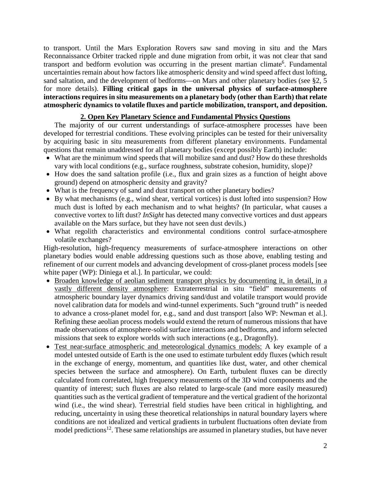to transport. Until the Mars Exploration Rovers saw sand moving in situ and the Mars Reconnaissance Orbiter tracked ripple and dune migration from orbit, it was not clear that sand transport and bedform evolution was occurring in the present martian climate<sup>6</sup>. Fundamental uncertainties remain about how factors like atmospheric density and wind speed affect dust lofting, sand saltation, and the development of bedforms—on Mars and other planetary bodies (see §2, 5 for more details). **Filling critical gaps in the universal physics of surface-atmosphere interactions requires in situ measurements on a planetary body (other than Earth) that relate atmospheric dynamics to volatile fluxes and particle mobilization, transport, and deposition.** 

## **2. Open Key Planetary Science and Fundamental Physics Questions**

The majority of our current understandings of surface-atmosphere processes have been developed for terrestrial conditions. These evolving principles can be tested for their universality by acquiring basic in situ measurements from different planetary environments. Fundamental questions that remain unaddressed for all planetary bodies (except possibly Earth) include:

- What are the minimum wind speeds that will mobilize sand and dust? How do these thresholds vary with local conditions (e.g., surface roughness, substrate cohesion, humidity, slope)?
- How does the sand saltation profile (i.e., flux and grain sizes as a function of height above ground) depend on atmospheric density and gravity?
- What is the frequency of sand and dust transport on other planetary bodies?
- By what mechanisms (e.g., wind shear, vertical vortices) is dust lofted into suspension? How much dust is lofted by each mechanism and to what heights? (In particular, what causes a convective vortex to lift dust? *InSight* has detected many convective vortices and dust appears available on the Mars surface, but they have not seen dust devils.)
- What regolith characteristics and environmental conditions control surface-atmosphere volatile exchanges?

High-resolution, high-frequency measurements of surface-atmosphere interactions on other planetary bodies would enable addressing questions such as those above, enabling testing and refinement of our current models and advancing development of cross-planet process models [see white paper (WP): Diniega et al.]. In particular, we could:

- Broaden knowledge of aeolian sediment transport physics by documenting it, in detail, in a vastly different density atmosphere: Extraterrestrial in situ "field" measurements of atmospheric boundary layer dynamics driving sand/dust and volatile transport would provide novel calibration data for models and wind-tunnel experiments. Such "ground truth" is needed to advance a cross-planet model for, e.g., sand and dust transport [also WP: Newman et al.]. Refining these aeolian process models would extend the return of numerous missions that have made observations of atmosphere-solid surface interactions and bedforms, and inform selected missions that seek to explore worlds with such interactions (e.g., Dragonfly).
- Test near-surface atmospheric and meteorological dynamics models: A key example of a model untested outside of Earth is the one used to estimate turbulent eddy fluxes (which result in the exchange of energy, momentum, and quantities like dust, water, and other chemical species between the surface and atmosphere). On Earth, turbulent fluxes can be directly calculated from correlated, high frequency measurements of the 3D wind components and the quantity of interest; such fluxes are also related to large-scale (and more easily measured) quantities such as the vertical gradient of temperature and the vertical gradient of the horizontal wind (i.e., the wind shear). Terrestrial field studies have been critical in highlighting, and reducing, uncertainty in using these theoretical relationships in natural boundary layers where conditions are not idealized and vertical gradients in turbulent fluctuations often deviate from model predictions<sup>12</sup>. These same relationships are assumed in planetary studies, but have never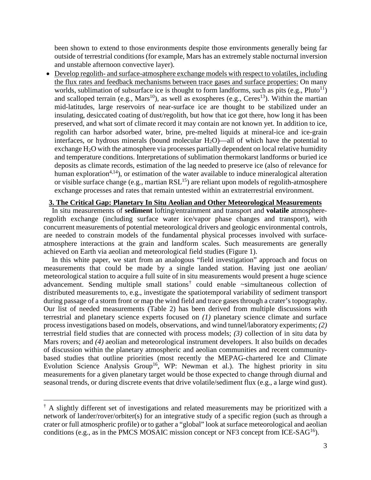been shown to extend to those environments despite those environments generally being far outside of terrestrial conditions (for example, Mars has an extremely stable nocturnal inversion and unstable afternoon convective layer).

• Develop regolith- and surface-atmosphere exchange models with respect to volatiles, including the flux rates and feedback mechanisms between trace gases and surface properties: On many worlds, sublimation of subsurface ice is thought to form landforms, such as pits (e.g.,  $Pluto<sup>11</sup>$ ) and scalloped terrain (e.g., Mars<sup>10</sup>), as well as exospheres (e.g., Ceres<sup>13</sup>). Within the martian mid-latitudes, large reservoirs of near-surface ice are thought to be stabilized under an insulating, desiccated coating of dust/regolith, but how that ice got there, how long it has been preserved, and what sort of climate record it may contain are not known yet. In addition to ice, regolith can harbor adsorbed water, brine, pre-melted liquids at mineral-ice and ice-grain interfaces, or hydrous minerals (bound molecular  $H_2O$ )—all of which have the potential to exchange  $H_2O$  with the atmosphere via processes partially dependent on local relative humidity and temperature conditions. Interpretations of sublimation thermokarst landforms or buried ice deposits as climate records, estimation of the lag needed to preserve ice (also of relevance for human exploration<sup>4,14</sup>), or estimation of the water available to induce mineralogical alteration or visible surface change (e.g., martian RSL<sup>15</sup>) are reliant upon models of regolith-atmosphere exchange processes and rates that remain untested within an extraterrestrial environment.

#### **3. The Critical Gap: Planetary In Situ Aeolian and Other Meteorological Measurements**

In situ measurements of **sediment** lofting/entrainment and transport and **volatile** atmosphereregolith exchange (including surface water ice/vapor phase changes and transport), with concurrent measurements of potential meteorological drivers and geologic environmental controls, are needed to constrain models of the fundamental physical processes involved with surfaceatmosphere interactions at the grain and landform scales. Such measurements are generally achieved on Earth via aeolian and meteorological field studies (Figure 1).

In this white paper, we start from an analogous "field investigation" approach and focus on measurements that could be made by a single landed station. Having just one aeolian/ meteorological station to acquire a full suite of in situ measurements would present a huge science advancement. Sending multiple small stations[†](#page-3-0) could enable ~simultaneous collection of distributed measurements to, e.g., investigate the spatiotemporal variability of sediment transport during passage of a storm front or map the wind field and trace gases through a crater's topography. Our list of needed measurements (Table 2) has been derived from multiple discussions with terrestrial and planetary science experts focused on *(1)* planetary science climate and surface process investigations based on models, observations, and wind tunnel/laboratory experiments; *(2)* terrestrial field studies that are connected with process models; *(3)* collection of in situ data by Mars rovers; and *(4)* aeolian and meteorological instrument developers. It also builds on decades of discussion within the planetary atmospheric and aeolian communities and recent communitybased studies that outline priorities (most recently the MEPAG-chartered Ice and Climate Evolution Science Analysis Group<sup>16</sup>, WP: Newman et al.). The highest priority in situ measurements for a given planetary target would be those expected to change through diurnal and seasonal trends, or during discrete events that drive volatile/sediment flux (e.g., a large wind gust).

<span id="page-3-0"></span> $\dagger$  A slightly different set of investigations and related measurements may be prioritized with a network of lander/rover/orbiter(s) for an integrative study of a specific region (such as through a crater or full atmospheric profile) or to gather a "global" look at surface meteorological and aeolian conditions (e.g., as in the PMCS MOSAIC mission concept or NF3 concept from ICE-SA $G^{16}$ ).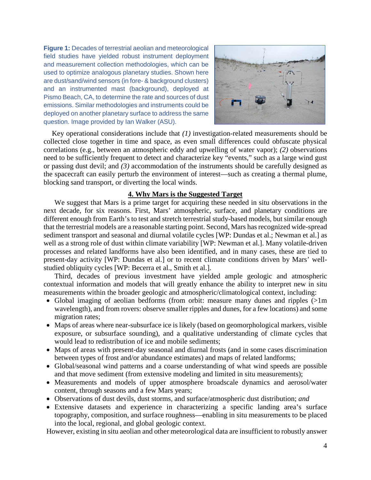**Figure 1:** Decades of terrestrial aeolian and meteorological field studies have yielded robust instrument deployment and measurement collection methodologies, which can be used to optimize analogous planetary studies. Shown here are dust/sand/wind sensors (in fore- & background clusters) and an instrumented mast (background), deployed at Pismo Beach, CA, to determine the rate and sources of dust emissions. Similar methodologies and instruments could be deployed on another planetary surface to address the same question. Image provided by Ian Walker (ASU).



Key operational considerations include that *(1)* investigation-related measurements should be collected close together in time and space, as even small differences could obfuscate physical correlations (e.g., between an atmospheric eddy and upwelling of water vapor); *(2)* observations need to be sufficiently frequent to detect and characterize key "events," such as a large wind gust or passing dust devil; and *(3)* accommodation of the instruments should be carefully designed as the spacecraft can easily perturb the environment of interest—such as creating a thermal plume, blocking sand transport, or diverting the local winds.

## **4. Why Mars is the Suggested Target**

We suggest that Mars is a prime target for acquiring these needed in situ observations in the next decade, for six reasons. First, Mars' atmospheric, surface, and planetary conditions are different enough from Earth's to test and stretch terrestrial study-based models, but similar enough that the terrestrial models are a reasonable starting point. Second, Mars has recognized wide-spread sediment transport and seasonal and diurnal volatile cycles [WP: Dundas et al.; Newman et al.] as well as a strong role of dust within climate variability [WP: Newman et al.]. Many volatile-driven processes and related landforms have also been identified, and in many cases, these are tied to present-day activity [WP: Dundas et al.] or to recent climate conditions driven by Mars' wellstudied obliquity cycles [WP: Becerra et al., Smith et al.].

Third, decades of previous investment have yielded ample geologic and atmospheric contextual information and models that will greatly enhance the ability to interpret new in situ measurements within the broader geologic and atmospheric/climatological context, including:

- Global imaging of aeolian bedforms (from orbit: measure many dunes and ripples (>1m wavelength), and from rovers: observe smaller ripples and dunes, for a few locations) and some migration rates;
- Maps of areas where near-subsurface ice is likely (based on geomorphological markers, visible exposure, or subsurface sounding), and a qualitative understanding of climate cycles that would lead to redistribution of ice and mobile sediments;
- Maps of areas with present-day seasonal and diurnal frosts (and in some cases discrimination between types of frost and/or abundance estimates) and maps of related landforms;
- Global/seasonal wind patterns and a coarse understanding of what wind speeds are possible and that move sediment (from extensive modeling and limited in situ measurements);
- Measurements and models of upper atmosphere broadscale dynamics and aerosol/water content, through seasons and a few Mars years;
- Observations of dust devils, dust storms, and surface/atmospheric dust distribution; *and*
- Extensive datasets and experience in characterizing a specific landing area's surface topography, composition, and surface roughness—enabling in situ measurements to be placed into the local, regional, and global geologic context.

However, existing in situ aeolian and other meteorological data are insufficient to robustly answer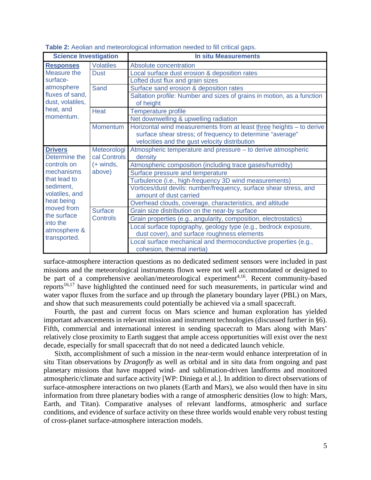| <b>Science Investigation</b>                                                                                                                                                                                                                                                    |                                                          | <b>In situ Measurements</b>                                                                                                                                                        |
|---------------------------------------------------------------------------------------------------------------------------------------------------------------------------------------------------------------------------------------------------------------------------------|----------------------------------------------------------|------------------------------------------------------------------------------------------------------------------------------------------------------------------------------------|
| <b>Responses</b><br>Measure the<br>surface-<br>atmosphere<br>fluxes of sand,<br>dust, volatiles,<br>heat, and<br>momentum.                                                                                                                                                      | <b>Volatiles</b>                                         | Absolute concentration                                                                                                                                                             |
|                                                                                                                                                                                                                                                                                 | <b>Dust</b>                                              | Local surface dust erosion & deposition rates                                                                                                                                      |
|                                                                                                                                                                                                                                                                                 |                                                          | Lofted dust flux and grain sizes                                                                                                                                                   |
|                                                                                                                                                                                                                                                                                 | Sand                                                     | Surface sand erosion & deposition rates                                                                                                                                            |
|                                                                                                                                                                                                                                                                                 |                                                          | Saltation profile: Number and sizes of grains in motion, as a function<br>of height                                                                                                |
|                                                                                                                                                                                                                                                                                 | <b>Heat</b>                                              | Temperature profile                                                                                                                                                                |
|                                                                                                                                                                                                                                                                                 |                                                          | Net downwelling & upwelling radiation                                                                                                                                              |
|                                                                                                                                                                                                                                                                                 | <b>Momentum</b>                                          | Horizontal wind measurements from at least three heights - to derive<br>surface shear stress; of frequency to determine "average"<br>velocities and the gust velocity distribution |
| <b>Drivers</b><br>Meteorologi<br>Determine the<br>controls on<br>$(+$ winds,<br>mechanisms<br>above)<br>that lead to<br>sediment,<br>volatiles, and<br>heat being<br>moved from<br><b>Surface</b><br>the surface<br><b>Controls</b><br>into the<br>atmosphere &<br>transported. | cal Controls                                             | Atmospheric temperature and pressure - to derive atmospheric<br>density                                                                                                            |
|                                                                                                                                                                                                                                                                                 | Atmospheric composition (including trace gases/humidity) |                                                                                                                                                                                    |
|                                                                                                                                                                                                                                                                                 | Surface pressure and temperature                         |                                                                                                                                                                                    |
|                                                                                                                                                                                                                                                                                 |                                                          | Turbulence (i.e., high-frequency 3D wind measurements)                                                                                                                             |
|                                                                                                                                                                                                                                                                                 |                                                          | Vortices/dust devils: number/frequency, surface shear stress, and<br>amount of dust carried                                                                                        |
|                                                                                                                                                                                                                                                                                 |                                                          | Overhead clouds, coverage, characteristics, and altitude                                                                                                                           |
|                                                                                                                                                                                                                                                                                 |                                                          | Grain size distribution on the near-by surface                                                                                                                                     |
|                                                                                                                                                                                                                                                                                 |                                                          | Grain properties (e.g., angularity, composition, electrostatics)                                                                                                                   |
|                                                                                                                                                                                                                                                                                 |                                                          | Local surface topography, geology type (e.g., bedrock exposure,<br>dust cover), and surface roughness elements                                                                     |
|                                                                                                                                                                                                                                                                                 |                                                          | Local surface mechanical and thermoconductive properties (e.g.,<br>cohesion, thermal inertia)                                                                                      |

**Table 2:** Aeolian and meteorological information needed to fill critical gaps.

surface-atmosphere interaction questions as no dedicated sediment sensors were included in past missions and the meteorological instruments flown were not well accommodated or designed to be part of a comprehensive aeolian/meteorological experiment<sup>4,16</sup>. Recent community-based reports<sup>16,17</sup> have highlighted the continued need for such measurements, in particular wind and water vapor fluxes from the surface and up through the planetary boundary layer (PBL) on Mars, and show that such measurements could potentially be achieved via a small spacecraft.

Fourth, the past and current focus on Mars science and human exploration has yielded important advancements in relevant mission and instrument technologies (discussed further in §6). Fifth, commercial and international interest in sending spacecraft to Mars along with Mars' relatively close proximity to Earth suggest that ample access opportunities will exist over the next decade, especially for small spacecraft that do not need a dedicated launch vehicle.

Sixth, accomplishment of such a mission in the near-term would enhance interpretation of in situ Titan observations by *Dragonfly* as well as orbital and in situ data from ongoing and past planetary missions that have mapped wind- and sublimation-driven landforms and monitored atmospheric/climate and surface activity [WP: Diniega et al.]. In addition to direct observations of surface-atmosphere interactions on two planets (Earth and Mars), we also would then have in situ information from three planetary bodies with a range of atmospheric densities (low to high: Mars, Earth, and Titan). Comparative analyses of relevant landforms, atmospheric and surface conditions, and evidence of surface activity on these three worlds would enable very robust testing of cross-planet surface-atmosphere interaction models.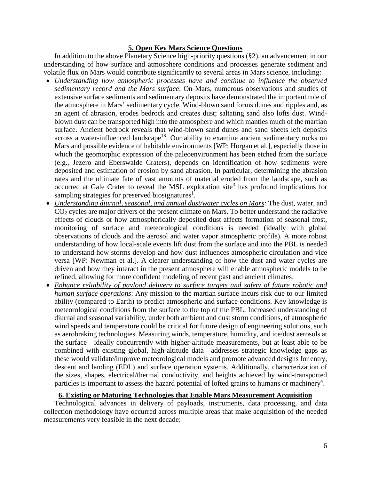## **5. Open Key Mars Science Questions**

In addition to the above Planetary Science high-priority questions (§2), an advancement in our understanding of how surface and atmosphere conditions and processes generate sediment and volatile flux on Mars would contribute significantly to several areas in Mars science, including:

- *Understanding how atmospheric processes have and continue to influence the observed sedimentary record and the Mars surface*: On Mars, numerous observations and studies of extensive surface sediments and sedimentary deposits have demonstrated the important role of the atmosphere in Mars' sedimentary cycle. Wind-blown sand forms dunes and ripples and, as an agent of abrasion, erodes bedrock and creates dust; saltating sand also lofts dust. Windblown dust can be transported high into the atmosphere and which mantles much of the martian surface. Ancient bedrock reveals that wind-blown sand dunes and sand sheets left deposits across a water-influenced landscape<sup>18</sup>. Our ability to examine ancient sedimentary rocks on Mars and possible evidence of habitable environments [WP: Horgan et al.], especially those in which the geomorphic expression of the paleoenvironment has been etched from the surface (e.g., Jezero and Eberswalde Craters), depends on identification of how sediments were deposited and estimation of erosion by sand abrasion. In particular, determining the abrasion rates and the ultimate fate of vast amounts of material eroded from the landscape, such as occurred at Gale Crater to reveal the MSL exploration site<sup>3</sup> has profound implications for sampling strategies for preserved biosignatures<sup>1</sup>.
- *Understanding diurnal, seasonal, and annual dust/water cycles on Mars:* The dust, water, and  $CO<sub>2</sub>$  cycles are major drivers of the present climate on Mars. To better understand the radiative effects of clouds or how atmospherically deposited dust affects formation of seasonal frost, monitoring of surface and meteorological conditions is needed (ideally with global observations of clouds and the aerosol and water vapor atmospheric profile). A more robust understanding of how local-scale events lift dust from the surface and into the PBL is needed to understand how storms develop and how dust influences atmospheric circulation and vice versa [WP: Newman et al.]. A clearer understanding of how the dust and water cycles are driven and how they interact in the present atmosphere will enable atmospheric models to be refined, allowing for more confident modeling of recent past and ancient climates.
- *Enhance reliability of payload delivery to surface targets and safety of future robotic and human surface operations*: Any mission to the martian surface incurs risk due to our limited ability (compared to Earth) to predict atmospheric and surface conditions. Key knowledge is meteorological conditions from the surface to the top of the PBL. Increased understanding of diurnal and seasonal variability, under both ambient and dust storm conditions, of atmospheric wind speeds and temperature could be critical for future design of engineering solutions, such as aerobraking technologies. Measuring winds, temperature, humidity, and ice/dust aerosols at the surface—ideally concurrently with higher-altitude measurements, but at least able to be combined with existing global, high-altitude data—addresses strategic knowledge gaps as these would validate/improve meteorological models and promote advanced designs for entry, descent and landing (EDL) and surface operation systems. Additionally, characterization of the sizes, shapes, electrical/thermal conductivity, and heights achieved by wind-transported particles is important to assess the hazard potential of lofted grains to humans or machinery<sup>4</sup>.

# **6. Existing or Maturing Technologies that Enable Mars Measurement Acquisition**

Technological advances in delivery of payloads, instruments, data processing, and data collection methodology have occurred across multiple areas that make acquisition of the needed measurements very feasible in the next decade: